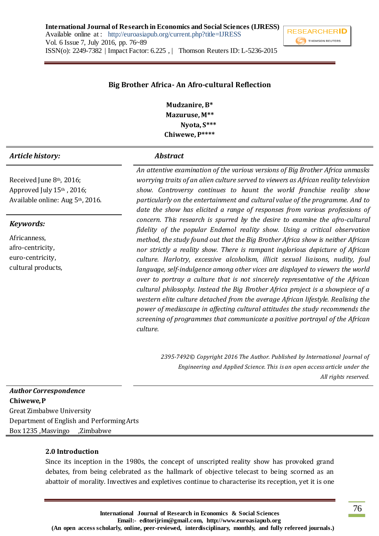**International Journal of Research in Economics and Social Sciences (IJRESS)** Available online at : http://euroasiapub.org/current.php?title=IJRESS Vol. 6 Issue 7, July 2016, pp. 76~89 ISSN(o): 2249-7382 | Impact Factor: 6.225 , | Thomson Reuters ID: L-5236-2015



#### **Big Brother Africa- An Afro-cultural Reflection**

**Mudzanire, B\* Mazuruse, M\*\* Nyota, S\*\*\* Chiwewe, P\*\*\*\***

#### *Article history: Abstract*

Received June 8th, 2016; Approved July 15th, 2016; Available online: Aug 5th, 2016.

#### *Keywords:*

Africanness, afro-centricity, euro-centricity, cultural products, *An attentive examination of the various versions of Big Brother Africa unmasks worrying traits of an alien culture served to viewers as African reality television show. Controversy continues to haunt the world franchise reality show particularly on the entertainment and cultural value of the programme. And to date the show has elicited a range of responses from various professions of concern. This research is spurred by the desire to examine the afro-cultural fidelity of the popular Endemol reality show. Using a critical observation method, the study found out that the Big Brother Africa show is neither African nor strictly a reality show. There is rampant inglorious depicture of African culture. Harlotry, excessive alcoholism, illicit sexual liaisons, nudity, foul language, self-indulgence among other vices are displayed to viewers the world over to portray a culture that is not sincerely representative of the African cultural philosophy. Instead the Big Brother Africa project is a showpiece of a western elite culture detached from the average African lifestyle. Realising the power of mediascape in affecting cultural attitudes the study recommends the screening of programmes that communicate a positive portrayal of the African culture.*

> *2395-7492© Copyright 2016 The Author. Published by International Journal of Engineering and Applied Science. This is an open access article under the All rights reserved.*

# *Author Correspondence*  **Chiwewe, P** Great Zimbabwe University Department of English and Performing Arts Box 1235 ,Masvingo ,Zimbabwe

#### **2.0 Introduction**

Since its inception in the 1980s, the concept of unscripted reality show has provoked grand debates, from being celebrated as the hallmark of objective telecast to being scorned as an abattoir of morality. Invectives and expletives continue to characterise its reception, yet it is one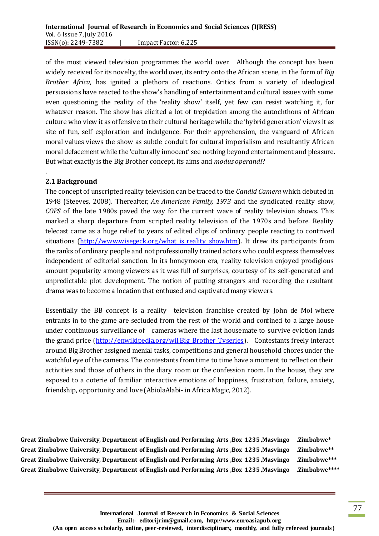of the most viewed television programmes the world over. Although the concept has been widely received for its novelty, the world over, its entry onto the African scene, in the form of *Big Brother Africa,* has ignited a plethora of reactions. Critics from a variety of ideological persuasions have reacted to the show's handling of entertainment and cultural issues with some even questioning the reality of the 'reality show' itself, yet few can resist watching it, for whatever reason. The show has elicited a lot of trepidation among the autochthons of African culture who view it as offensive to their cultural heritage while the 'hybrid generation' views it as site of fun, self exploration and indulgence. For their apprehension, the vanguard of African moral values views the show as subtle conduit for cultural imperialism and resultantly African moral defacement while the 'culturally innocent' see nothing beyond entertainment and pleasure. But what exactly is the Big Brother concept, its aims and *modus operandi*?

# **2.1 Background**

.

The concept of unscripted reality television can be traced to the *Candid Camera* which debuted in 1948 (Steeves, 2008). Thereafter, *An American Family, 1973* and the syndicated reality show, *COPS* of the late 1980s paved the way for the current wave of reality television shows. This marked a sharp departure from scripted reality television of the 1970s and before. Reality telecast came as a huge relief to years of edited clips of ordinary people reacting to contrived situations (http://www.wisegeck.org/what is reality show.htm). It drew its participants from the ranks of ordinary people and not professionally trained actors who could express themselves independent of editorial sanction. In its honeymoon era, reality television enjoyed prodigious amount popularity among viewers as it was full of surprises, courtesy of its self-generated and unpredictable plot development. The notion of putting strangers and recording the resultant drama was to become a location that enthused and captivated many viewers.

Essentially the BB concept is a reality television franchise created by John de Mol where entrants in to the game are secluded from the rest of the world and confined to a large house under continuous surveillance of cameras where the last housemate to survive eviction lands the grand price [\(http://enwikipedia.org/wil.Big\\_Brother\\_Tvseries\)](http://enwikipedia.org/wil.Big_Brother_Tvseries). Contestants freely interact around Big Brother assigned menial tasks, competitions and general household chores under the watchful eye of the cameras. The contestants from time to time have a moment to reflect on their activities and those of others in the diary room or the confession room. In the house, they are exposed to a coterie of familiar interactive emotions of happiness, frustration, failure, anxiety, friendship, opportunity and love (AbiolaAlabi- in Africa Magic, 2012).

**Great Zimbabwe University, Department of English and Performing Arts ,Box 1235 ,Masvingo ,Zimbabwe\* Great Zimbabwe University, Department of English and Performing Arts ,Box 1235 ,Masvingo ,Zimbabwe\*\* Great Zimbabwe University, Department of English and Performing Arts ,Box 1235 ,Masvingo ,Zimbabwe\*\*\* Great Zimbabwe University, Department of English and Performing Arts ,Box 1235 ,Masvingo ,Zimbabwe\*\*\*\***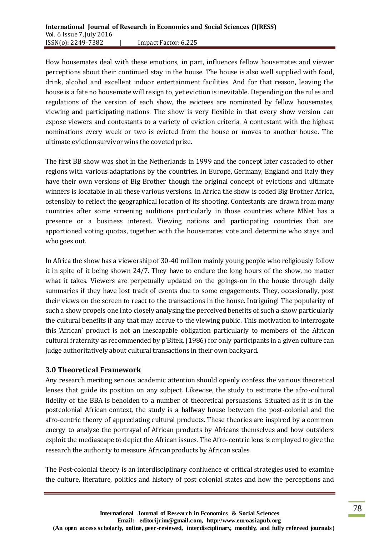How housemates deal with these emotions, in part, influences fellow housemates and viewer perceptions about their continued stay in the house. The house is also well supplied with food, drink, alcohol and excellent indoor entertainment facilities. And for that reason, leaving the house is a fate no housemate will resign to, yet eviction is inevitable. Depending on the rules and regulations of the version of each show, the evictees are nominated by fellow housemates, viewing and participating nations. The show is very flexible in that every show version can expose viewers and contestants to a variety of eviction criteria. A contestant with the highest nominations every week or two is evicted from the house or moves to another house. The ultimate eviction survivor wins the coveted prize.

The first BB show was shot in the Netherlands in 1999 and the concept later cascaded to other regions with various adaptations by the countries. In Europe, Germany, England and Italy they have their own versions of Big Brother though the original concept of evictions and ultimate winners is locatable in all these various versions. In Africa the show is coded Big Brother Africa, ostensibly to reflect the geographical location of its shooting. Contestants are drawn from many countries after some screening auditions particularly in those countries where MNet has a presence or a business interest. Viewing nations and participating countries that are apportioned voting quotas, together with the housemates vote and determine who stays and who goes out.

In Africa the show has a viewership of 30-40 million mainly young people who religiously follow it in spite of it being shown 24/7. They have to endure the long hours of the show, no matter what it takes. Viewers are perpetually updated on the goings-on in the house through daily summaries if they have lost track of events due to some engagements. They, occasionally, post their views on the screen to react to the transactions in the house. Intriguing! The popularity of such a show propels one into closely analysing the perceived benefits of such a show particularly the cultural benefits if any that may accrue to the viewing public. This motivation to interrogate this 'African' product is not an inescapable obligation particularly to members of the African cultural fraternity as recommended by p'Bitek, (1986) for only participants in a given culture can judge authoritatively about cultural transactions in their own backyard.

## **3.0 Theoretical Framework**

Any research meriting serious academic attention should openly confess the various theoretical lenses that guide its position on any subject. Likewise, the study to estimate the afro-cultural fidelity of the BBA is beholden to a number of theoretical persuasions. Situated as it is in the postcolonial African context, the study is a halfway house between the post-colonial and the afro-centric theory of appreciating cultural products. These theories are inspired by a common energy to analyse the portrayal of African products by Africans themselves and how outsiders exploit the mediascape to depict the African issues. The Afro-centric lens is employed to give the research the authority to measure African products by African scales.

The Post-colonial theory is an interdisciplinary confluence of critical strategies used to examine the culture, literature, politics and history of post colonial states and how the perceptions and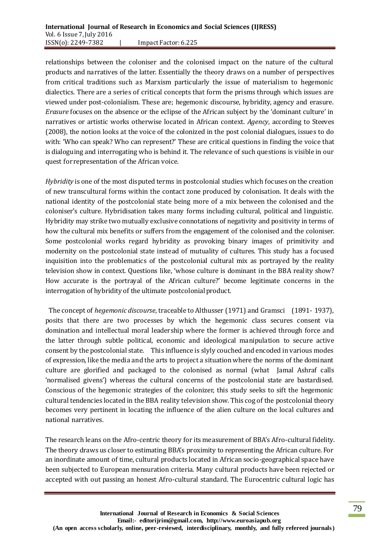relationships between the coloniser and the colonised impact on the nature of the cultural products and narratives of the latter. Essentially the theory draws on a number of perspectives from critical traditions such as Marxism particularly the issue of materialism to hegemonic dialectics. There are a series of critical concepts that form the prisms through which issues are viewed under post-colonialism. These are; hegemonic discourse, hybridity, agency and erasure. *Erasure* focuses on the absence or the eclipse of the African subject by the 'dominant culture' in narratives or artistic works otherwise located in African context. *Agency*, according to Steeves (2008), the notion looks at the voice of the colonized in the post colonial dialogues, issues to do with: 'Who can speak? Who can represent?' These are critical questions in finding the voice that is dialoguing and interrogating who is behind it. The relevance of such questions is visible in our quest for representation of the African voice.

*Hybridity* is one of the most disputed terms in postcolonial studies which focuses on the creation of new transcultural forms within the contact zone produced by colonisation. It deals with the national identity of the postcolonial state being more of a mix between the colonised and the coloniser's culture. Hybridisation takes many forms including cultural, political and linguistic. Hybridity may strike two mutually exclusive connotations of negativity and positivity in terms of how the cultural mix benefits or suffers from the engagement of the colonised and the coloniser. Some postcolonial works regard hybridity as provoking binary images of primitivity and modernity on the postcolonial state instead of mutuality of cultures. This study has a focused inquisition into the problematics of the postcolonial cultural mix as portrayed by the reality television show in context. Questions like, 'whose culture is dominant in the BBA reality show? How accurate is the portrayal of the African culture?' become legitimate concerns in the interrogation of hybridity of the ultimate postcolonial product.

The concept of *hegemonic discourse*, traceable to Althusser (1971) and Gramsci (1891- 1937), posits that there are two processes by which the hegemonic class secures consent via domination and intellectual moral leadership where the former is achieved through force and the latter through subtle political, economic and ideological manipulation to secure active consent by the postcolonial state. This influence is slyly couched and encoded in various modes of expression, like the media and the arts to project a situation where the norms of the dominant culture are glorified and packaged to the colonised as normal (what Jamal Ashraf calls 'normalised givens') whereas the cultural concerns of the postcolonial state are bastardised. Conscious of the hegemonic strategies of the colonizer, this study seeks to sift the hegemonic cultural tendencies located in the BBA reality television show. This cog of the postcolonial theory becomes very pertinent in locating the influence of the alien culture on the local cultures and national narratives.

The research leans on the Afro-centric theory for its measurement of BBA's Afro-cultural fidelity. The theory draws us closer to estimating BBA's proximity to representing the African culture. For an inordinate amount of time, cultural products located in African socio-geographical space have been subjected to European mensuration criteria. Many cultural products have been rejected or accepted with out passing an honest Afro-cultural standard. The Eurocentric cultural logic has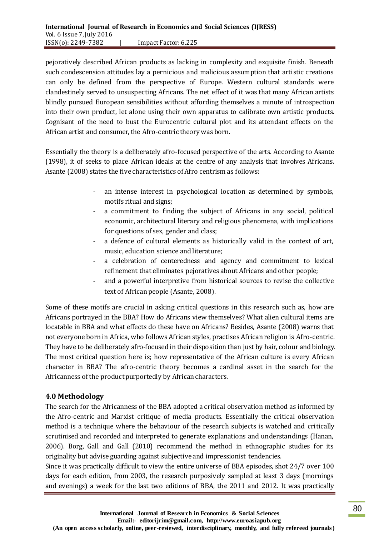pejoratively described African products as lacking in complexity and exquisite finish. Beneath such condescension attitudes lay a pernicious and malicious assumption that artistic creations can only be defined from the perspective of Europe. Western cultural standards were clandestinely served to unsuspecting Africans. The net effect of it was that many African artists blindly pursued European sensibilities without affording themselves a minute of introspection into their own product, let alone using their own apparatus to calibrate own artistic products. Cognisant of the need to bust the Eurocentric cultural plot and its attendant effects on the African artist and consumer, the Afro-centric theory was born.

Essentially the theory is a deliberately afro-focused perspective of the arts. According to Asante (1998), it of seeks to place African ideals at the centre of any analysis that involves Africans. Asante (2008) states the five characteristics of Afro centrism as follows:

- an intense interest in psychological location as determined by symbols, motifs ritual and signs;
- a commitment to finding the subject of Africans in any social, political economic, architectural literary and religious phenomena, with implications for questions of sex, gender and class;
- a defence of cultural elements as historically valid in the context of art, music, education science and literature;
- a celebration of centeredness and agency and commitment to lexical refinement that eliminates pejoratives about Africans and other people;
- and a powerful interpretive from historical sources to revise the collective text of African people (Asante, 2008).

Some of these motifs are crucial in asking critical questions in this research such as, how are Africans portrayed in the BBA? How do Africans view themselves? What alien cultural items are locatable in BBA and what effects do these have on Africans? Besides, Asante (2008) warns that not everyone born in Africa, who follows African styles, practises African religion is Afro-centric. They have to be deliberately afro-focused in their disposition than just by hair, colour and biology. The most critical question here is; how representative of the African culture is every African character in BBA? The afro-centric theory becomes a cardinal asset in the search for the Africanness of the product purportedly by African characters.

# **4.0 Methodology**

The search for the Africanness of the BBA adopted a critical observation method as informed by the Afro-centric and Marxist critique of media products. Essentially the critical observation method is a technique where the behaviour of the research subjects is watched and critically scrutinised and recorded and interpreted to generate explanations and understandings (Hanan, 2006). Borg, Gall and Gall (2010) recommend the method in ethnographic studies for its originality but advise guarding against subjective and impressionist tendencies.

Since it was practically difficult to view the entire universe of BBA episodes, shot 24/7 over 100 days for each edition, from 2003, the research purposively sampled at least 3 days (mornings and evenings) a week for the last two editions of BBA, the 2011 and 2012. It was practically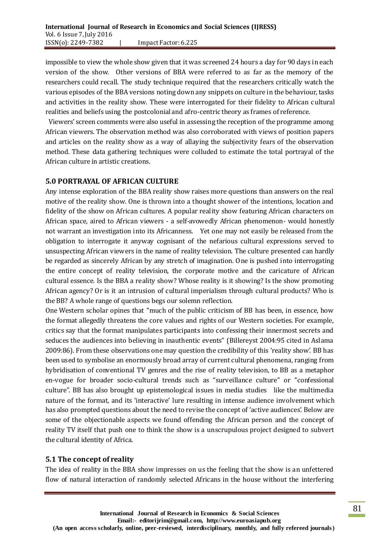impossible to view the whole show given that it was screened 24 hours a day for 90 days in each version of the show. Other versions of BBA were referred to as far as the memory of the researchers could recall. The study technique required that the researchers critically watch the various episodes of the BBA versions noting down any snippets on culture in the behaviour, tasks and activities in the reality show. These were interrogated for their fidelity to African cultural realities and beliefs using the postcolonial and afro-centric theory as frames of reference.

Viewers' screen comments were also useful in assessing the reception of the programme among African viewers. The observation method was also corroborated with views of position papers and articles on the reality show as a way of allaying the subjectivity fears of the observation method. These data gathering techniques were colluded to estimate the total portrayal of the African culture in artistic creations.

### **5.0 PORTRAYAL OF AFRICAN CULTURE**

Any intense exploration of the BBA reality show raises more questions than answers on the real motive of the reality show. One is thrown into a thought shower of the intentions, location and fidelity of the show on African cultures. A popular reality show featuring African characters on African space, aired to African viewers - a self-avowedly African phenomenon- would honestly not warrant an investigation into its Africanness. Yet one may not easily be released from the obligation to interrogate it anyway cognisant of the nefarious cultural expressions served to unsuspecting African viewers in the name of reality television. The culture presented can hardly be regarded as sincerely African by any stretch of imagination. One is pushed into interrogating the entire concept of reality television, the corporate motive and the caricature of African cultural essence. Is the BBA a reality show? Whose reality is it showing? Is the show promoting African agency? Or is it an intrusion of cultural imperialism through cultural products? Who is the BB? A whole range of questions begs our solemn reflection.

One Western scholar opines that "much of the public criticism of BB has been, in essence, how the format allegedly threatens the core values and rights of our Western societies. For example, critics say that the format manipulates participants into confessing their innermost secrets and seduces the audiences into believing in inauthentic events" (Billereyst 2004:95 cited in Aslama 2009:86). From these observations one may question the credibility of this 'reality show'. BB has been used to symbolise an enormously broad array of current cultural phenomena, ranging from hybridisation of conventional TV genres and the rise of reality television, to BB as a metaphor en-vogue for broader socio-cultural trends such as "surveillance culture" or "confessional culture". BB has also brought up epistemological issues in media studies like the multimedia nature of the format, and its 'interactive' lure resulting in intense audience involvement which has also prompted questions about the need to revise the concept of 'active audiences'. Below are some of the objectionable aspects we found offending the African person and the concept of reality TV itself that push one to think the show is a unscrupulous project designed to subvert the cultural identity of Africa.

#### **5.1 The concept of reality**

The idea of reality in the BBA show impresses on us the feeling that the show is an unfettered flow of natural interaction of randomly selected Africans in the house without the interfering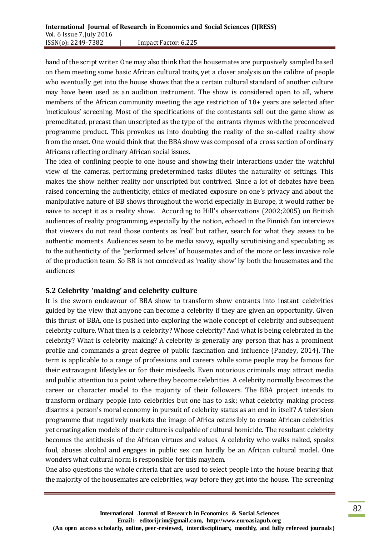hand of the script writer. One may also think that the housemates are purposively sampled based on them meeting some basic African cultural traits, yet a closer analysis on the calibre of people who eventually get into the house shows that the a certain cultural standard of another culture may have been used as an audition instrument. The show is considered open to all, where members of the African community meeting the age restriction of 18+ years are selected after 'meticulous' screening. Most of the specifications of the contestants sell out the game show as premeditated, precast than unscripted as the type of the entrants rhymes with the preconceived programme product. This provokes us into doubting the reality of the so-called reality show from the onset. One would think that the BBA show was composed of a cross section of ordinary Africans reflecting ordinary African social issues.

The idea of confining people to one house and showing their interactions under the watchful view of the cameras, performing predetermined tasks dilutes the naturality of settings. This makes the show neither reality nor unscripted but contrived. Since a lot of debates have been raised concerning the authenticity, ethics of mediated exposure on one's privacy and about the manipulative nature of BB shows throughout the world especially in Europe, it would rather be naïve to accept it as a reality show. According to Hill's observations (2002;2005) on British audiences of reality programming, especially by the notion, echoed in the Finnish fan interviews that viewers do not read those contents as 'real' but rather, search for what they assess to be authentic moments. Audiences seem to be media savvy, equally scrutinising and speculating as to the authenticity of the 'performed selves' of housemates and of the more or less invasive role of the production team. So BB is not conceived as 'reality show' by both the housemates and the audiences

## **5.2 Celebrity 'making' and celebrity culture**

It is the sworn endeavour of BBA show to transform show entrants into instant celebrities guided by the view that anyone can become a celebrity if they are given an opportunity. Given this thrust of BBA, one is pushed into exploring the whole concept of celebrity and subsequent celebrity culture. What then is a celebrity? Whose celebrity? And what is being celebrated in the celebrity? What is celebrity making? A celebrity is generally any person that has a prominent profile and commands a great degree of public fascination and influence (Pandey, 2014). The term is applicable to a range of professions and careers while some people may be famous for their extravagant lifestyles or for their misdeeds. Even notorious criminals may attract media and public attention to a point where they become celebrities. A celebrity normally becomes the career or character model to the majority of their followers. The BBA project intends to transform ordinary people into celebrities but one has to ask; what celebrity making process disarms a person's moral economy in pursuit of celebrity status as an end in itself? A television programme that negatively markets the image of Africa ostensibly to create African celebrities yet creating alien models of their culture is culpable of cultural homicide. The resultant celebrity becomes the antithesis of the African virtues and values. A celebrity who walks naked, speaks foul, abuses alcohol and engages in public sex can hardly be an African cultural model. One wonders what cultural norm is responsible for this mayhem.

One also questions the whole criteria that are used to select people into the house bearing that the majority of the housemates are celebrities, way before they get into the house. The screening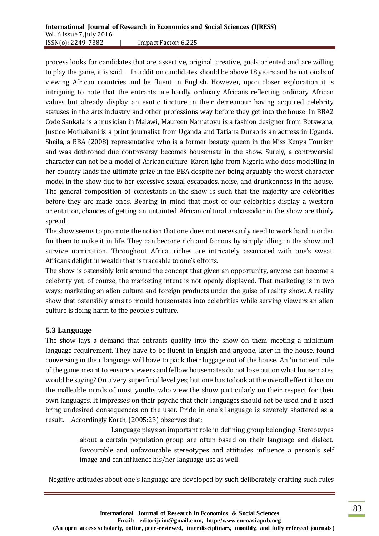process looks for candidates that are assertive, original, creative, goals oriented and are willing to play the game, it is said. In addition candidates should be above 18 years and be nationals of viewing African countries and be fluent in English. However, upon closer exploration it is intriguing to note that the entrants are hardly ordinary Africans reflecting ordinary African values but already display an exotic tincture in their demeanour having acquired celebrity statuses in the arts industry and other professions way before they get into the house. In BBA2 Code Sankala is a musician in Malawi, Maureen Namatovu is a fashion designer from Botswana, Justice Mothabani is a print journalist from Uganda and Tatiana Durao is an actress in Uganda. Sheila, a BBA (2008) representative who is a former beauty queen in the Miss Kenya Tourism and was dethroned due controversy becomes housemate in the show. Surely, a controversial character can not be a model of African culture. Karen Igho from Nigeria who does modelling in her country lands the ultimate prize in the BBA despite her being arguably the worst character model in the show due to her excessive sexual escapades, noise, and drunkenness in the house. The general composition of contestants in the show is such that the majority are celebrities before they are made ones. Bearing in mind that most of our celebrities display a western orientation, chances of getting an untainted African cultural ambassador in the show are thinly spread.

The show seems to promote the notion that one does not necessarily need to work hard in order for them to make it in life. They can become rich and famous by simply idling in the show and survive nomination. Throughout Africa, riches are intricately associated with one's sweat. Africans delight in wealth that is traceable to one's efforts.

The show is ostensibly knit around the concept that given an opportunity, anyone can become a celebrity yet, of course, the marketing intent is not openly displayed. That marketing is in two ways; marketing an alien culture and foreign products under the guise of reality show. A reality show that ostensibly aims to mould housemates into celebrities while serving viewers an alien culture is doing harm to the people's culture.

## **5.3 Language**

The show lays a demand that entrants qualify into the show on them meeting a minimum language requirement. They have to be fluent in English and anyone, later in the house, found conversing in their language will have to pack their luggage out of the house. An 'innocent' rule of the game meant to ensure viewers and fellow housemates do not lose out on what housemates would be saying? On a very superficial level yes; but one has to look at the overall effect it has on the malleable minds of most youths who view the show particularly on their respect for their own languages. It impresses on their psyche that their languages should not be used and if used bring undesired consequences on the user. Pride in one's language is severely shattered as a result. Accordingly Korth, (2005:23) observes that;

> Language plays an important role in defining group belonging. Stereotypes about a certain population group are often based on their language and dialect. Favourable and unfavourable stereotypes and attitudes influence a person's self image and can influence his/her language use as well.

Negative attitudes about one's language are developed by such deliberately crafting such rules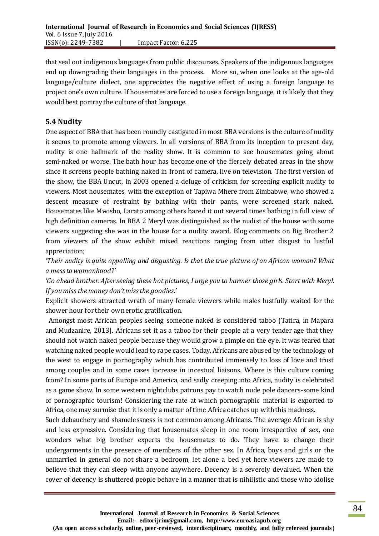that seal out indigenous languages from public discourses. Speakers of the indigenous languages end up downgrading their languages in the process. More so, when one looks at the age-old language/culture dialect, one appreciates the negative effect of using a foreign language to project one's own culture. If housemates are forced to use a foreign language, it is likely that they would best portray the culture of that language.

# **5.4 Nudity**

One aspect of BBA that has been roundly castigated in most BBA versions is the culture of nudity it seems to promote among viewers. In all versions of BBA from its inception to present day, nudity is one hallmark of the reality show. It is common to see housemates going about semi-naked or worse. The bath hour has become one of the fiercely debated areas in the show since it screens people bathing naked in front of camera, live on television. The first version of the show, the BBA Uncut, in 2003 opened a deluge of criticism for screening explicit nudity to viewers. Most housemates, with the exception of Tapiwa Mhere from Zimbabwe, who showed a descent measure of restraint by bathing with their pants, were screened stark naked. Housemates like Mwisho, Larato among others bared it out several times bathing in full view of high definition cameras. In BBA 2 Meryl was distinguished as the nudist of the house with some viewers suggesting she was in the house for a nudity award. Blog comments on Big Brother 2 from viewers of the show exhibit mixed reactions ranging from utter disgust to lustful appreciation;

*'Their nudity is quite appalling and disgusting. Is that the true picture of an African woman? What a mess to womanhood?'*

*'Go ahead brother. After seeing these hot pictures, I urge you to harmer those girls. Start with Meryl. If you miss the money don't miss the goodies.'*

Explicit showers attracted wrath of many female viewers while males lustfully waited for the shower hour for their own erotic gratification.

Amongst most African peoples seeing someone naked is considered taboo (Tatira, in Mapara and Mudzanire, 2013). Africans set it as a taboo for their people at a very tender age that they should not watch naked people because they would grow a pimple on the eye. It was feared that watching naked people would lead to rape cases. Today, Africans are abused by the technology of the west to engage in pornography which has contributed immensely to loss of love and trust among couples and in some cases increase in incestual liaisons. Where is this culture coming from? In some parts of Europe and America, and sadly creeping into Africa, nudity is celebrated as a game show. In some western nightclubs patrons pay to watch nude pole dancers-some kind of pornographic tourism! Considering the rate at which pornographic material is exported to Africa, one may surmise that it is only a matter of time Africa catches up with this madness.

Such debauchery and shamelessness is not common among Africans. The average African is shy and less expressive. Considering that housemates sleep in one room irrespective of sex, one wonders what big brother expects the housemates to do. They have to change their undergarments in the presence of members of the other sex. In Africa, boys and girls or the unmarried in general do not share a bedroom, let alone a bed yet here viewers are made to believe that they can sleep with anyone anywhere. Decency is a severely devalued. When the cover of decency is shuttered people behave in a manner that is nihilistic and those who idolise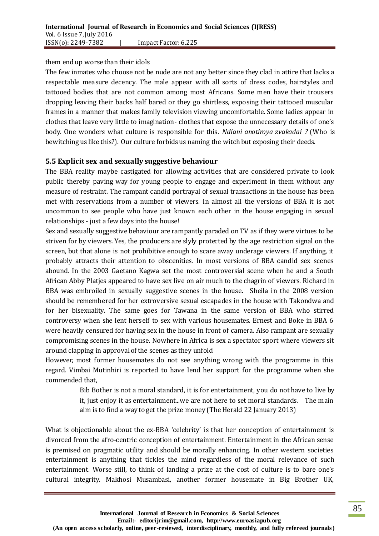#### them end up worse than their idols

The few inmates who choose not be nude are not any better since they clad in attire that lacks a respectable measure decency. The male appear with all sorts of dress codes, hairstyles and tattooed bodies that are not common among most Africans. Some men have their trousers dropping leaving their backs half bared or they go shirtless, exposing their tattooed muscular frames in a manner that makes family television viewing uncomfortable. Some ladies appear in clothes that leave very little to imagination- clothes that expose the unnecessary details of one's body. One wonders what culture is responsible for this. *Ndiani anotiroya zvakadai ?* (Who is bewitching us like this?). Our culture forbidsus naming the witch but exposing their deeds.

### **5.5 Explicit sex and sexually suggestive behaviour**

The BBA reality maybe castigated for allowing activities that are considered private to look public thereby paving way for young people to engage and experiment in them without any measure of restraint. The rampant candid portrayal of sexual transactions in the house has been met with reservations from a number of viewers. In almost all the versions of BBA it is not uncommon to see people who have just known each other in the house engaging in sexual relationships - just a few days into the house!

Sex and sexually suggestive behaviour are rampantly paraded on TV as if they were virtues to be striven for by viewers. Yes, the producers are slyly protected by the age restriction signal on the screen, but that alone is not prohibitive enough to scare away underage viewers. If anything, it probably attracts their attention to obscenities. In most versions of BBA candid sex scenes abound. In the 2003 Gaetano Kagwa set the most controversial scene when he and a South African Abby Platjes appeared to have sex live on air much to the chagrin of viewers. Richard in BBA was embroiled in sexually suggestive scenes in the house. Sheila in the 2008 version should be remembered for her extroversive sexual escapades in the house with Takondwa and for her bisexuality. The same goes for Tawana in the same version of BBA who stirred controversy when she lent herself to sex with various housemates. Ernest and Boke in BBA 6 were heavily censured for having sex in the house in front of camera. Also rampant are sexually compromising scenes in the house. Nowhere in Africa is sex a spectator sport where viewers sit around clapping in approval of the scenes as they unfold

However, most former housemates do not see anything wrong with the programme in this regard. Vimbai Mutinhiri is reported to have lend her support for the programme when she commended that,

> Bib Bother is not a moral standard, it is for entertainment, you do not have to live by it, just enjoy it as entertainment...we are not here to set moral standards. The main aim is to find a way to get the prize money (The Herald 22 January 2013)

What is objectionable about the ex-BBA 'celebrity' is that her conception of entertainment is divorced from the afro-centric conception of entertainment. Entertainment in the African sense is premised on pragmatic utility and should be morally enhancing. In other western societies entertainment is anything that tickles the mind regardless of the moral relevance of such entertainment. Worse still, to think of landing a prize at the cost of culture is to bare one's cultural integrity. Makhosi Musambasi, another former housemate in Big Brother UK,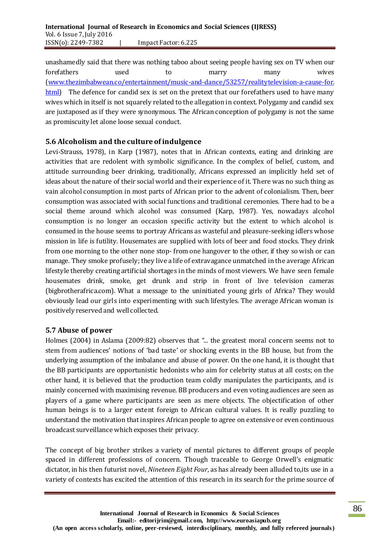unashamedly said that there was nothing taboo about seeing people having sex on TV when our forefathers used to marry many wives [\(www.thezimbabwean.co/entertainment/music-and-dance/53257/realitytelevision-a-cause-for.](http://www.thezimbabwean.co/entertainment/music-and-dance/53257/realitytelevision-a-cause-for.html) [html\)](http://www.thezimbabwean.co/entertainment/music-and-dance/53257/realitytelevision-a-cause-for.html) The defence for candid sex is set on the pretext that our forefathers used to have many wives which in itself is not squarely related to the allegation in context. Polygamy and candid sex are juxtaposed as if they were synonymous. The African conception of polygamy is not the same as promiscuity let alone loose sexual conduct.

# **5.6 Alcoholism and the culture of indulgence**

Levi-Strauss, 1978), in Karp (1987), notes that in African contexts, eating and drinking are activities that are redolent with symbolic significance. In the complex of belief, custom, and attitude surrounding beer drinking, traditionally, Africans expressed an implicitly held set of ideas about the nature of their social world and their experience of it. There was no such thing as vain alcohol consumption in most parts of African prior to the advent of colonialism. Then, beer consumption was associated with social functions and traditional ceremonies. There had to be a social theme around which alcohol was consumed (Karp, 1987). Yes, nowadays alcohol consumption is no longer an occasion specific activity but the extent to which alcohol is consumed in the house seems to portray Africans as wasteful and pleasure-seeking idlers whose mission in life is futility. Housemates are supplied with lots of beer and food stocks. They drink from one morning to the other none stop- from one hangover to the other, if they so wish or can manage. They smoke profusely; they live a life of extravagance unmatched in the average African lifestyle thereby creating artificial shortages in the minds of most viewers. We have seen female housemates drink, smoke, get drunk and strip in front of live television cameras (bigbrotherafrica.com). What a message to the uninitiated young girls of Africa? They would obviously lead our girls into experimenting with such lifestyles. The average African woman is positively reserved and well collected.

## **5.7 Abuse of power**

Holmes (2004) in Aslama (2009:82) observes that "... the greatest moral concern seems not to stem from audiences' notions of 'bad taste' or shocking events in the BB house, but from the underlying assumption of the imbalance and abuse of power. On the one hand, it is thought that the BB participants are opportunistic hedonists who aim for celebrity status at all costs; on the other hand, it is believed that the production team coldly manipulates the participants, and is mainly concerned with maximising revenue. BB producers and even voting audiences are seen as players of a game where participants are seen as mere objects. The objectification of other human beings is to a larger extent foreign to African cultural values. It is really puzzling to understand the motivation that inspires African people to agree on extensive or even continuous broadcast surveillance which exposes their privacy.

The concept of big brother strikes a variety of mental pictures to different groups of people spaced in different professions of concern. Though traceable to George Orwell's enigmatic dictator, in his then futurist novel, *Nineteen Eight Four*, as has already been alluded to,its use in a variety of contexts has excited the attention of this research in its search for the prime source of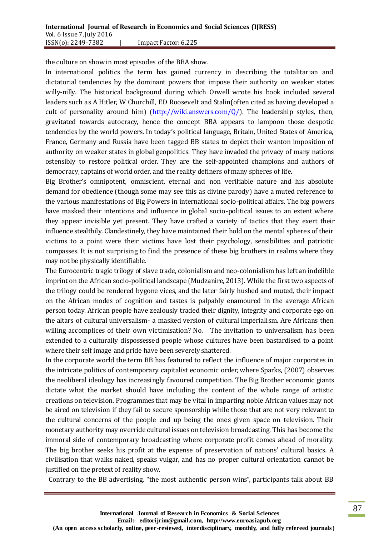the culture on show in most episodes of the BBA show.

In international politics the term has gained currency in describing the totalitarian and dictatorial tendencies by the dominant powers that impose their authority on weaker states willy-nilly. The historical background during which Orwell wrote his book included several leaders such as A Hitler, W Churchill, F.D Roosevelt and Stalin(often cited as having developed a cult of personality around him) (http://wiki.answers.com/ $Q$ ). The leadership styles, then, gravitated towards autocracy, hence the concept BBA appears to lampoon those despotic tendencies by the world powers. In today's political language, Britain, United States of America, France, Germany and Russia have been tagged BB states to depict their wanton imposition of authority on weaker states in global geopolitics. They have invaded the privacy of many nations ostensibly to restore political order. They are the self-appointed champions and authors of democracy, captains of world order, and the reality definers of many spheres of life.

Big Brother's omnipotent, omniscient, eternal and non verifiable nature and his absolute demand for obedience (though some may see this as divine parody) have a muted reference to the various manifestations of Big Powers in international socio-political affairs. The big powers have masked their intentions and influence in global socio-political issues to an extent where they appear invisible yet present. They have crafted a variety of tactics that they exert their influence stealthily. Clandestinely, they have maintained their hold on the mental spheres of their victims to a point were their victims have lost their psychology, sensibilities and patriotic compasses. It is not surprising to find the presence of these big brothers in realms where they may not be physically identifiable.

The Eurocentric tragic trilogy of slave trade, colonialism and neo-colonialism has left an indelible imprint on the African socio-political landscape (Mudzanire, 2013). While the first two aspects of the trilogy could be rendered bygone vices, and the later fairly hushed and muted, their impact on the African modes of cognition and tastes is palpably enamoured in the average African person today. African people have zealously traded their dignity, integrity and corporate ego on the altars of cultural universalism- a masked version of cultural imperialism. Are Africans then willing accomplices of their own victimisation? No. The invitation to universalism has been extended to a culturally dispossessed people whose cultures have been bastardised to a point where their self image and pride have been severely shattered.

In the corporate world the term BB has featured to reflect the influence of major corporates in the intricate politics of contemporary capitalist economic order, where Sparks, (2007) observes the neoliberal ideology has increasingly favoured competition. The Big Brother economic giants dictate what the market should have including the content of the whole range of artistic creations on television. Programmes that may be vital in imparting noble African values may not be aired on television if they fail to secure sponsorship while those that are not very relevant to the cultural concerns of the people end up being the ones given space on television. Their monetary authority may override cultural issues on television broadcasting. This has become the immoral side of contemporary broadcasting where corporate profit comes ahead of morality. The big brother seeks his profit at the expense of preservation of nations' cultural basics. A civilisation that walks naked, speaks vulgar, and has no proper cultural orientation cannot be justified on the pretext of reality show.

Contrary to the BB advertising, "the most authentic person wins", participants talk about BB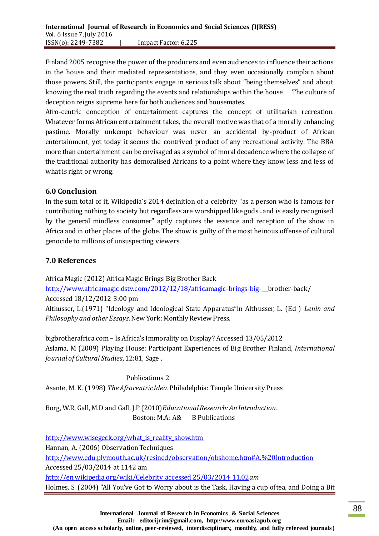Finland 2005 recognise the power of the producers and even audiences to influence their actions in the house and their mediated representations, and they even occasionally complain about those powers. Still, the participants engage in serious talk about "being themselves" and about knowing the real truth regarding the events and relationships within the house. The culture of deception reigns supreme here for both audiences and housemates.

Afro-centric conception of entertainment captures the concept of utilitarian recreation. Whatever forms African entertainment takes, the overall motive was that of a morally enhancing pastime. Morally unkempt behaviour was never an accidental by-product of African entertainment, yet today it seems the contrived product of any recreational activity. The BBA more than entertainment can be envisaged as a symbol of moral decadence where the collapse of the traditional authority has demoralised Africans to a point where they know less and less of what is right or wrong.

# **6.0 Conclusion**

In the sum total of it, Wikipedia's 2014 definition of a celebrity "as a person who is famous for contributing nothing to society but regardless are worshipped like gods...and is easily recognised by the general mindless consumer" aptly captures the essence and reception of the show in Africa and in other places of the globe. The show is guilty of the most heinous offense of cultural genocide to millions of unsuspecting viewers

# **7.0 References**

Africa Magic (2012) Africa Magic Brings Big Brother Back

<http://www.africamagic.dstv.com/2012/12/18/africamagic-brings-big->\_brother-back/ Accessed 18/12/2012 3:00 pm

Althusser, L.(1971) "Ideology and Ideological State Apparatus"in Althusser, L. (Ed ) *Lenin and Philosophy and other Essays*. New York: Monthly Review Press.

bigbrotherafrica.com – Is Africa's Immorality on Display? Accessed 13/05/2012 Aslama, M (2009) Playing House: Participant Experiences of Big Brother Finland, *International Journal of Cultural Studies*, 12:81, Sage .

 Publications. 2 Asante, M. K. (1998) *The Afrocentric Idea*. Philadelphia: Temple University Press

Borg, W.R, Gall, M.D and Gall, J.P (2010)*Educational Research: An Introduction*. Boston: M.A: A& B Publications

[http://www.wisegeck.org/what\\_is\\_reality\\_show.htm](http://www.wisegeck.org/what_is_reality_show.htm) Hannan, A. (2006) Observation Techniques <http://www.edu.plymouth.ac.uk/resined/observation/obshome.htm#A.%20Introduction> Accessed 25/03/2014 at 1142 am [http://en.wikipedia.org/wiki/Celebrity accessed 25/03/2014 11.02](http://en.wikipedia.org/wiki/Celebrity%20accessed%2025/03/2014%2011.02)*am* Holmes, S. (2004) "All You've Got to Worry about is the Task, Having a cup oftea, and Doing a Bit